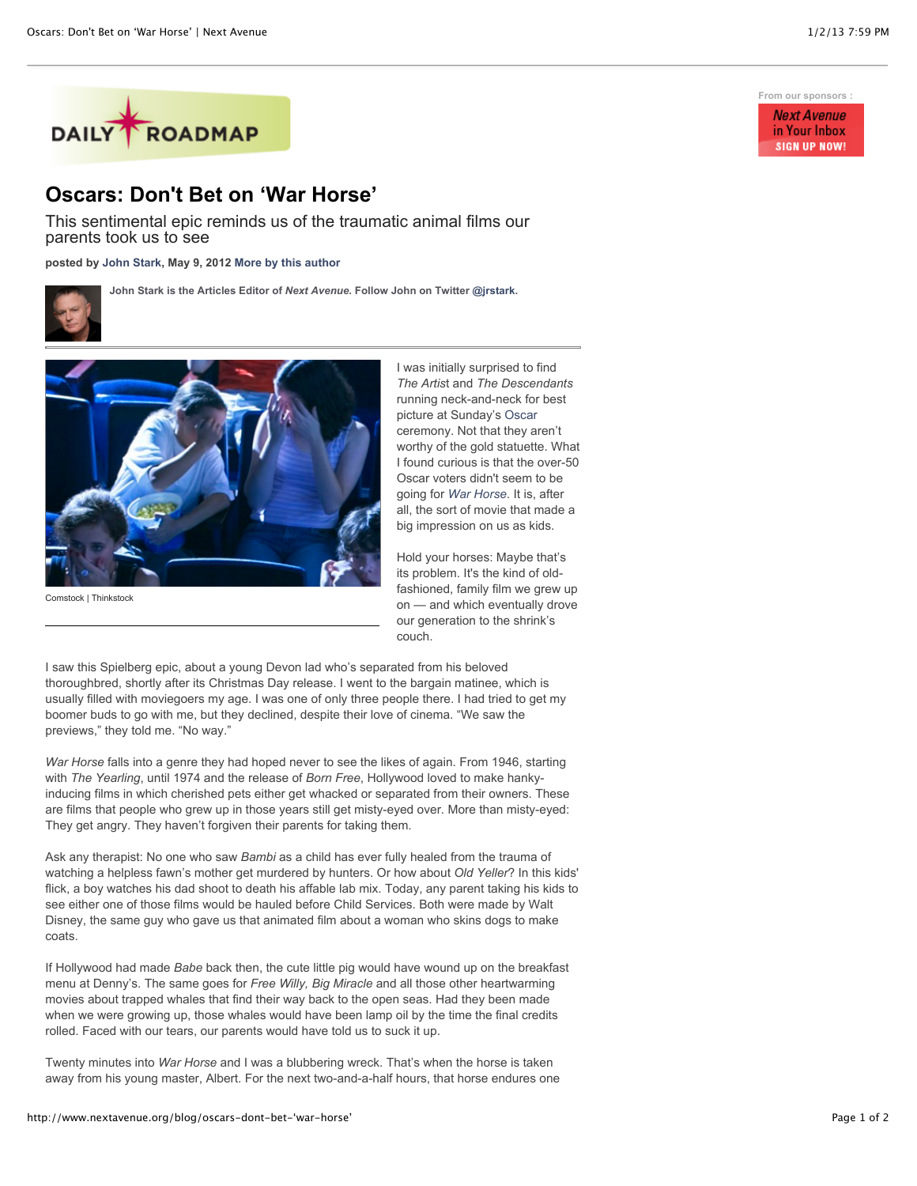

## **Oscars: Don't Bet on 'War Horse'**

This sentimental epic reminds us of the traumatic animal films our parents took us to see

**posted by [John Stark,](http://www.nextavenue.org/staff/john-stark) May 9, 2012 [More by this author](http://www.nextavenue.org/staff/john-stark)**

**John Stark is the Articles Editor of** *Next Avenue***. Follow John on Twitter [@jrstark.](http://twitter.com/jrstark)**



Comstock | Thinkstock

I was initially surprised to find *The Artis*t and *The Descendants* running neck-and-neck for best picture at Sunday's [Oscar](http://oscar.go.com/) ceremony. Not that they aren't worthy of the gold statuette. What I found curious is that the over-50 Oscar voters didn't seem to be going for *[War Horse](http://www.warhorsemovie.com/)*. It is, after all, the sort of movie that made a big impression on us as kids.

Hold your horses: Maybe that's its problem. It's the kind of oldfashioned, family film we grew up on — and which eventually drove our generation to the shrink's couch.

I saw this Spielberg epic, about a young Devon lad who's separated from his beloved thoroughbred, shortly after its Christmas Day release. I went to the bargain matinee, which is usually filled with moviegoers my age. I was one of only three people there. I had tried to get my boomer buds to go with me, but they declined, despite their love of cinema. "We saw the previews," they told me. "No way."

*War Horse* falls into a genre they had hoped never to see the likes of again. From 1946, starting with *The Yearling*, until 1974 and the release of *Born Free*, Hollywood loved to make hankyinducing films in which cherished pets either get whacked or separated from their owners. These are films that people who grew up in those years still get misty-eyed over. More than misty-eyed: They get angry. They haven't forgiven their parents for taking them.

Ask any therapist: No one who saw *Bambi* as a child has ever fully healed from the trauma of watching a helpless fawn's mother get murdered by hunters. Or how about *Old Yeller*? In this kids' flick, a boy watches his dad shoot to death his affable lab mix. Today, any parent taking his kids to see either one of those films would be hauled before Child Services. Both were made by Walt Disney, the same guy who gave us that animated film about a woman who skins dogs to make coats.

If Hollywood had made *Babe* back then, the cute little pig would have wound up on the breakfast menu at Denny's. The same goes for *Free Willy, Big Miracle* and all those other heartwarming movies about trapped whales that find their way back to the open seas. Had they been made when we were growing up, those whales would have been lamp oil by the time the final credits rolled. Faced with our tears, our parents would have told us to suck it up.

Twenty minutes into *War Horse* and I was a blubbering wreck. That's when the horse is taken away from his young master, Albert. For the next two-and-a-half hours, that horse endures one